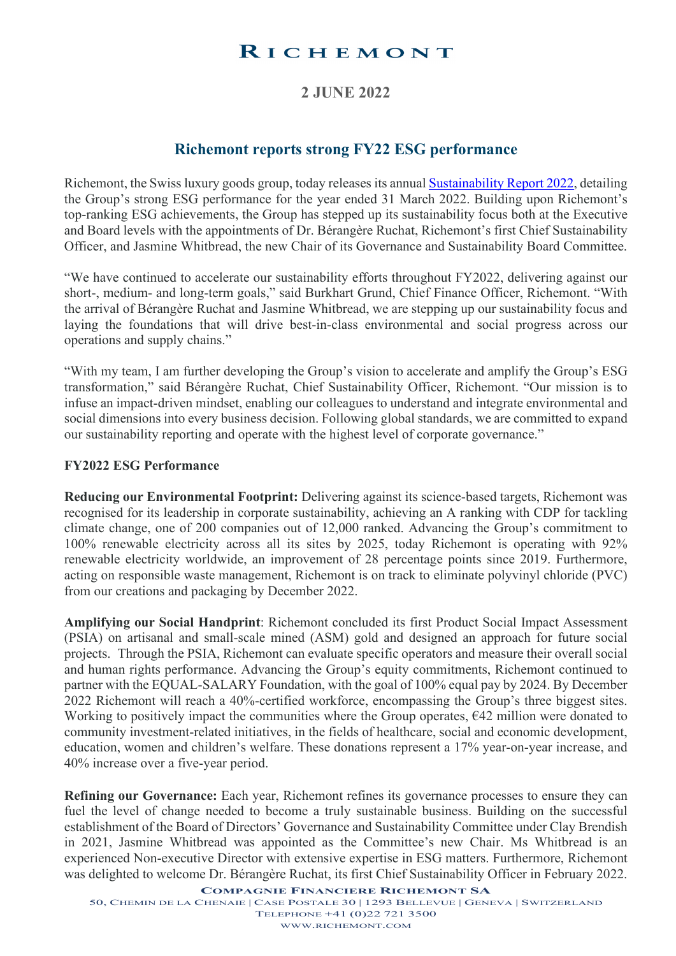# RICHEMONT

## **2 JUNE 2022**

## **Richemont reports strong FY22 ESG performance**

Richemont, the Swiss luxury goods group, today releases its annual [Sustainability Report 2022,](https://www.richemont.com/media/agondiwh/richemont-sustainability-report-2022.pdf) detailing the Group's strong ESG performance for the year ended 31 March 2022. Building upon Richemont's top-ranking ESG achievements, the Group has stepped up its sustainability focus both at the Executive and Board levels with the appointments of Dr. Bérangère Ruchat, Richemont's first Chief Sustainability Officer, and Jasmine Whitbread, the new Chair of its Governance and Sustainability Board Committee.

"We have continued to accelerate our sustainability efforts throughout FY2022, delivering against our short-, medium- and long-term goals," said Burkhart Grund, Chief Finance Officer, Richemont. "With the arrival of Bérangère Ruchat and Jasmine Whitbread, we are stepping up our sustainability focus and laying the foundations that will drive best-in-class environmental and social progress across our operations and supply chains."

"With my team, I am further developing the Group's vision to accelerate and amplify the Group's ESG transformation," said Bérangère Ruchat, Chief Sustainability Officer, Richemont. "Our mission is to infuse an impact-driven mindset, enabling our colleagues to understand and integrate environmental and social dimensions into every business decision. Following global standards, we are committed to expand our sustainability reporting and operate with the highest level of corporate governance."

#### **FY2022 ESG Performance**

**Reducing our Environmental Footprint:** Delivering against its science-based targets, Richemont was recognised for its leadership in corporate sustainability, achieving an A ranking with CDP for tackling climate change, one of 200 companies out of 12,000 ranked. Advancing the Group's commitment to 100% renewable electricity across all its sites by 2025, today Richemont is operating with 92% renewable electricity worldwide, an improvement of 28 percentage points since 2019. Furthermore, acting on responsible waste management, Richemont is on track to eliminate polyvinyl chloride (PVC) from our creations and packaging by December 2022.

**Amplifying our Social Handprint**: Richemont concluded its first Product Social Impact Assessment (PSIA) on artisanal and small-scale mined (ASM) gold and designed an approach for future social projects. Through the PSIA, Richemont can evaluate specific operators and measure their overall social and human rights performance. Advancing the Group's equity commitments, Richemont continued to partner with the EQUAL-SALARY Foundation, with the goal of 100% equal pay by 2024. By December 2022 Richemont will reach a 40%-certified workforce, encompassing the Group's three biggest sites. Working to positively impact the communities where the Group operates,  $\epsilon$ 42 million were donated to community investment-related initiatives, in the fields of healthcare, social and economic development, education, women and children's welfare. These donations represent a 17% year-on-year increase, and 40% increase over a five-year period.

**Refining our Governance:** Each year, Richemont refines its governance processes to ensure they can fuel the level of change needed to become a truly sustainable business. Building on the successful establishment of the Board of Directors' Governance and Sustainability Committee under Clay Brendish in 2021, Jasmine Whitbread was appointed as the Committee's new Chair. Ms Whitbread is an experienced Non-executive Director with extensive expertise in ESG matters. Furthermore, Richemont was delighted to welcome Dr. Bérangère Ruchat, its first Chief Sustainability Officer in February 2022.

**COMPAGNIE FINANCIERE RICHEMONT SA**

50, CHEMIN DE LA CHENAIE | CASE POSTALE 30 | 1293 BELLEVUE | GENEVA | SWITZERLAND TELEPHONE +41 (0)22 721 3500

[WWW.RICHEMONT.COM](http://www.richemont.com/)